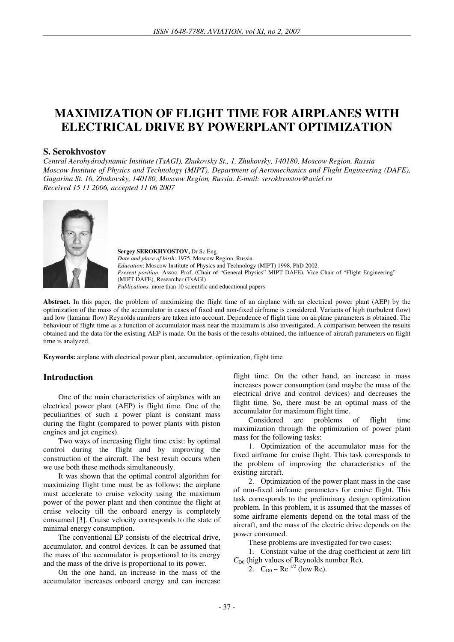# **MAXIMIZATION OF FLIGHT TIME FOR AIRPLANES WITH ELECTRICAL DRIVE BY POWERPLANT OPTIMIZATION**

#### **S. Serokhvostov**

*Central Aerohydrodynamic Institute (TsAGI), Zhukovsky St., 1, Zhukovsky, 140180, Moscow Region, Russia Moscow Institute of Physics and Technology (MIPT), Department of Aeromechanics and Flight Engineering (DAFE), Gagarina St. 16, Zhukovsky, 140180, Moscow Region, Russia. E-mail: serokhvostov@aviel.ru Received 15 11 2006, accepted 11 06 2007* 



**Sergey SEROKHVOSTOV,** Dr Sc Eng *Date and place of birth*: 1975, Moscow Region, Russia. *Education*: Moscow Institute of Physics and Technology (MIPT) 1998, PhD 2002. *Present position*: Assoc. Prof. (Chair of "General Physics" MIPT DAFE), Vice Chair of "Flight Engineering" (MIPT DAFE), Researcher (TsAGI) *Publications*: more than 10 scientific and educational papers

**Abstract.** In this paper, the problem of maximizing the flight time of an airplane with an electrical power plant (AEP) by the optimization of the mass of the accumulator in cases of fixed and non-fixed airframe is considered. Variants of high (turbulent flow) and low (laminar flow) Reynolds numbers are taken into account. Dependence of flight time on airplane parameters is obtained. The behaviour of flight time as a function of accumulator mass near the maximum is also investigated. A comparison between the results obtained and the data for the existing AEP is made. On the basis of the results obtained, the influence of aircraft parameters on flight time is analyzed.

**Keywords:** airplane with electrical power plant, accumulator, optimization, flight time

## **Introduction**

One of the main characteristics of airplanes with an electrical power plant (AEP) is flight time. One of the peculiarities of such a power plant is constant mass during the flight (compared to power plants with piston engines and jet engines).

Two ways of increasing flight time exist: by optimal control during the flight and by improving the construction of the aircraft. The best result occurs when we use both these methods simultaneously.

It was shown that the optimal control algorithm for maximizing flight time must be as follows: the airplane must accelerate to cruise velocity using the maximum power of the power plant and then continue the flight at cruise velocity till the onboard energy is completely consumed [3]. Cruise velocity corresponds to the state of minimal energy consumption.

The conventional EP consists of the electrical drive, accumulator, and control devices. It can be assumed that the mass of the accumulator is proportional to its energy and the mass of the drive is proportional to its power.

On the one hand, an increase in the mass of the accumulator increases onboard energy and can increase flight time. On the other hand, an increase in mass increases power consumption (and maybe the mass of the electrical drive and control devices) and decreases the flight time. So, there must be an optimal mass of the accumulator for maximum flight time.

Considered are problems of flight time maximization through the optimization of power plant mass for the following tasks:

1. Optimization of the accumulator mass for the fixed airframe for cruise flight. This task corresponds to the problem of improving the characteristics of the existing aircraft.

2. Optimization of the power plant mass in the case of non-fixed airframe parameters for cruise flight. This task corresponds to the preliminary design optimization problem. In this problem, it is assumed that the masses of some airframe elements depend on the total mass of the aircraft, and the mass of the electric drive depends on the power consumed.

These problems are investigated for two cases:

1. Constant value of the drag coefficient at zero lift  $C_{D0}$  (high values of Reynolds number Re),

2.  $C_{D0} \sim Re^{-1/2}$  (low Re).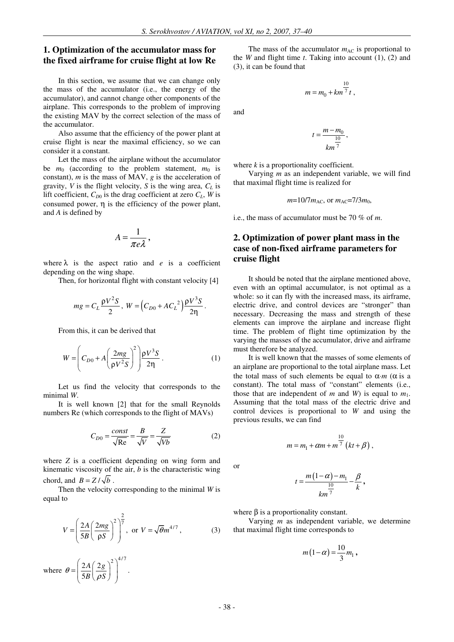#### **1. Optimization of the accumulator mass for the fixed airframe for cruise flight at low Re**

In this section, we assume that we can change only the mass of the accumulator (i.e., the energy of the accumulator), and cannot change other components of the airplane. This corresponds to the problem of improving the existing MAV by the correct selection of the mass of the accumulator.

Also assume that the efficiency of the power plant at cruise flight is near the maximal efficiency, so we can consider it a constant.

Let the mass of the airplane without the accumulator be  $m_0$  (according to the problem statement,  $m_0$  is constant), *m* is the mass of MAV, *g* is the acceleration of gravity, *V* is the flight velocity, *S* is the wing area, *CL* is lift coefficient,  $C_{D0}$  is the drag coefficient at zero  $C_L$ , *W* is consumed power,  $\eta$  is the efficiency of the power plant, and *A* is defined by

$$
A=\frac{1}{\pi e\lambda},
$$

where  $\lambda$  is the aspect ratio and *e* is a coefficient depending on the wing shape.

Then, for horizontal flight with constant velocity [4]

$$
mg = C_L \frac{\rho V^2 S}{2}, \ W = (C_{D0} + AC_L^2) \frac{\rho V^3 S}{2\eta}.
$$

From this, it can be derived that

$$
W = \left(C_{D0} + A \left(\frac{2mg}{\rho V^2 S}\right)^2\right) \frac{\rho V^3 S}{2\eta}.
$$
 (1)

Let us find the velocity that corresponds to the minimal *W*.

It is well known [2] that for the small Reynolds numbers Re (which corresponds to the flight of MAVs)

$$
C_{D0} = \frac{const}{\sqrt{\text{Re}}} = \frac{B}{\sqrt{V}} = \frac{Z}{\sqrt{Vb}}
$$
 (2)

where *Z* is a coefficient depending on wing form and kinematic viscosity of the air, *b* is the characteristic wing chord, and  $B = Z/\sqrt{b}$ .

Then the velocity corresponding to the minimal *W* is equal to

$$
V = \left(\frac{2A}{5B} \left(\frac{2mg}{\rho S}\right)^2\right)^{\frac{2}{7}}, \text{ or } V = \sqrt{\theta}m^{4/7}, \qquad (3)
$$

where  $2A(2g)^{2}\big)^{4/7}$ 5 *A g*  $\theta = \frac{3\pi}{5B} \left( \frac{5\pi}{\rho S} \right)$ ρ  $\left(2A(2g)^2\right)^2$  $=\left(\frac{2A}{5B}\left(\frac{2g}{\rho S}\right)\right)$  .

The mass of the accumulator  $m_{AC}$  is proportional to the *W* and flight time *t*. Taking into account (1), (2) and (3), it can be found that

$$
m=m_0+km^{\dfrac{10}{7}}t\;,
$$

and

$$
t = \frac{m - m_0}{\frac{10}{7}},
$$

where *k* is a proportionality coefficient.

Varying *m* as an independent variable, we will find that maximal flight time is realized for

 $m=10/7m_{\text{AC}}$ , or  $m_{\text{AC}}=7/3m_0$ ,

i.e., the mass of accumulator must be 70 % of *m*.

# **2. Optimization of power plant mass in the case of non-fixed airframe parameters for cruise flight**

It should be noted that the airplane mentioned above, even with an optimal accumulator, is not optimal as a whole: so it can fly with the increased mass, its airframe, electric drive, and control devices are "stronger" than necessary. Decreasing the mass and strength of these elements can improve the airplane and increase flight time. The problem of flight time optimization by the varying the masses of the accumulator, drive and airframe must therefore be analyzed.

It is well known that the masses of some elements of an airplane are proportional to the total airplane mass. Let the total mass of such elements be equal to  $\alpha \cdot m$  ( $\alpha$  is a constant). The total mass of "constant" elements (i.e., those that are independent of *m* and *W*) is equal to  $m_1$ . Assuming that the total mass of the electric drive and control devices is proportional to *W* and using the previous results, we can find

$$
m = m_1 + \alpha m + m^{\frac{10}{7}} \left( kt + \beta \right),
$$

or

$$
t = \frac{m(1-\alpha)-m_1}{km^{\frac{10}{7}}}-\frac{\beta}{k},
$$

where  $\beta$  is a proportionality constant.

Varying *m* as independent variable, we determine that maximal flight time corresponds to

$$
m(1-\alpha) = \frac{10}{3}m_1,
$$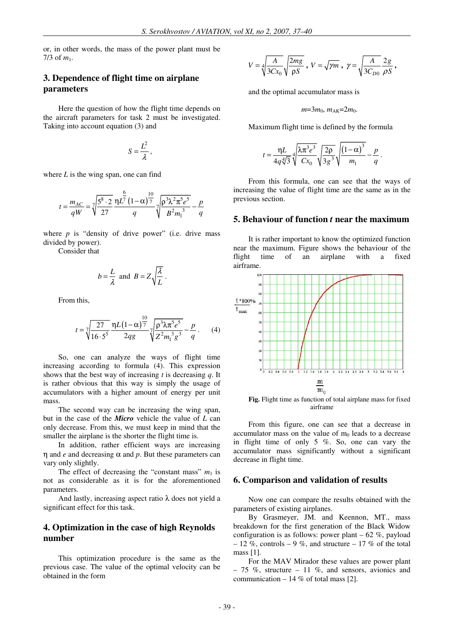or, in other words, the mass of the power plant must be  $7/3$  of  $m_1$ .

#### **3. Dependence of flight time on airplane parameters**

Here the question of how the flight time depends on the aircraft parameters for task 2 must be investigated. Taking into account equation (3) and

$$
S=\frac{L^2}{\lambda},
$$

where *L* is the wing span, one can find

$$
t = \frac{m_{AC}}{qW} = \sqrt{\frac{5^8 \cdot 2}{27}} \frac{{\eta L}^{\frac{6}{7}}}{q} \left(1 - \alpha\right)^{\frac{10}{7}} \sqrt{\frac{{{\rho^3 \lambda^2 \pi^5 e^5}}}{B^2 m_1^3}} - \frac{p}{q}
$$

where  $p$  is "density of drive power" (i.e. drive mass divided by power).

Consider that

$$
b = \frac{L}{\lambda}
$$
 and  $B = Z \sqrt{\frac{\lambda}{L}}$ .

From this,

$$
t = \sqrt[7]{\frac{27}{16 \cdot 5^5}} \frac{\eta L (1 - \alpha)^{\frac{10}{7}}}{2qg} \sqrt[7]{\frac{\rho^3 \lambda \pi^5 e^5}{Z^2 m_1^3 g^3}} - \frac{p}{q}.
$$
 (4)

So, one can analyze the ways of flight time increasing according to formula (4). This expression shows that the best way of increasing *t* is decreasing *q*. It is rather obvious that this way is simply the usage of accumulators with a higher amount of energy per unit mass.

The second way can be increasing the wing span, but in the case of the *Micro* vehicle the value of *L* can only decrease. From this, we must keep in mind that the smaller the airplane is the shorter the flight time is.

In addition, rather efficient ways are increasing η and *e* and decreasing α and *p*. But these parameters can vary only slightly.

The effect of decreasing the "constant mass"  $m_1$  is not as considerable as it is for the aforementioned parameters.

And lastly, increasing aspect ratio  $\lambda$  does not yield a significant effect for this task.

## **4. Optimization in the case of high Reynolds number**

This optimization procedure is the same as the previous case. The value of the optimal velocity can be obtained in the form

$$
V = \sqrt[4]{\frac{A}{3Cx_0}} \sqrt{\frac{2mg}{\rho S}} ,\; V = \sqrt{\gamma m} ,\; \gamma = \sqrt{\frac{A}{3C_{D0}}} \frac{2g}{\rho S} ,
$$

and the optimal accumulator mass is

$$
m=3m_0, m_{AK}=2m_0.
$$

Maximum flight time is defined by the formula

$$
t = \frac{\eta L}{4q^4\sqrt{3}} \sqrt[4]{\frac{\lambda \pi^3 e^3}{Cx_0}} \sqrt{\frac{2\rho}{3g^3}} \sqrt{\frac{(1-\alpha)^3}{m_1}} - \frac{p}{q}.
$$

From this formula, one can see that the ways of increasing the value of flight time are the same as in the previous section.

#### **5. Behaviour of function** *t* **near the maximum**

It is rather important to know the optimized function near the maximum. Figure shows the behaviour of the flight time of an airplane with a fixed airframe.



**Fig.** Flight time as function of total airplane mass for fixed airframe

From this figure, one can see that a decrease in accumulator mass on the value of  $m_0$  leads to a decrease in flight time of only 5 %. So, one can vary the accumulator mass significantly without a significant decrease in flight time.

#### **6. Comparison and validation of results**

Now one can compare the results obtained with the parameters of existing airplanes.

By Grasmeyer, JM. and Keennon, MT., mass breakdown for the first generation of the Black Widow configuration is as follows: power plant  $-62\%$ , payload – 12 %, controls – 9 %, and structure – 17 % of the total mass [1].

For the MAV Mirador these values are power plant  $-75$  %, structure  $-11$  %, and sensors, avionics and communication  $-14\%$  of total mass [2].